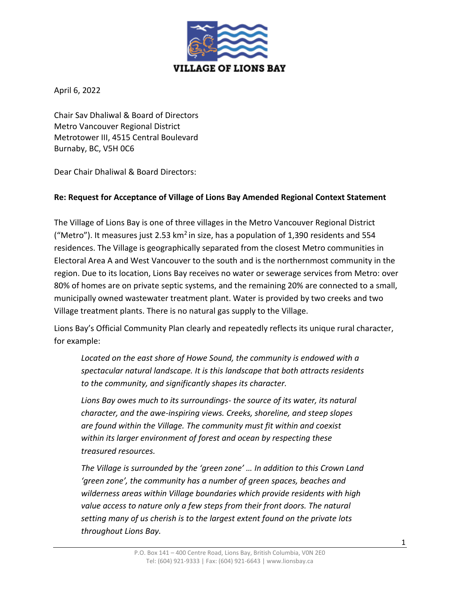

April 6, 2022

Chair Sav Dhaliwal & Board of Directors Metro Vancouver Regional District Metrotower III, 4515 Central Boulevard Burnaby, BC, V5H 0C6

Dear Chair Dhaliwal & Board Directors:

### **Re: Request for Acceptance of Village of Lions Bay Amended Regional Context Statement**

The Village of Lions Bay is one of three villages in the Metro Vancouver Regional District ("Metro"). It measures just 2.53 km<sup>2</sup> in size, has a population of 1,390 residents and 554 residences. The Village is geographically separated from the closest Metro communities in Electoral Area A and West Vancouver to the south and is the northernmost community in the region. Due to its location, Lions Bay receives no water or sewerage services from Metro: over 80% of homes are on private septic systems, and the remaining 20% are connected to a small, municipally owned wastewater treatment plant. Water is provided by two creeks and two Village treatment plants. There is no natural gas supply to the Village.

Lions Bay's Official Community Plan clearly and repeatedly reflects its unique rural character, for example:

*Located on the east shore of Howe Sound, the community is endowed with a spectacular natural landscape. It is this landscape that both attracts residents to the community, and significantly shapes its character.*

*Lions Bay owes much to its surroundings- the source of its water, its natural character, and the awe-inspiring views. Creeks, shoreline, and steep slopes are found within the Village. The community must fit within and coexist within its larger environment of forest and ocean by respecting these treasured resources.*

*The Village is surrounded by the 'green zone' … In addition to this Crown Land 'green zone', the community has a number of green spaces, beaches and wilderness areas within Village boundaries which provide residents with high*  value access to nature only a few steps from their front doors. The natural *setting many of us cherish is to the largest extent found on the private lots throughout Lions Bay.*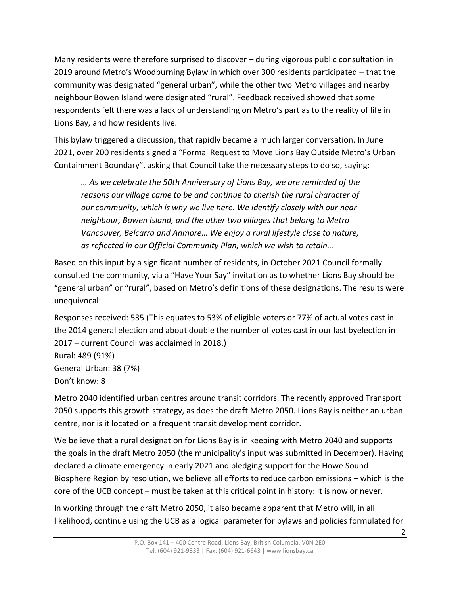Many residents were therefore surprised to discover – during vigorous public consultation in 2019 around Metro's Woodburning Bylaw in which over 300 residents participated – that the community was designated "general urban", while the other two Metro villages and nearby neighbour Bowen Island were designated "rural". Feedback received showed that some respondents felt there was a lack of understanding on Metro's part as to the reality of life in Lions Bay, and how residents live.

This bylaw triggered a discussion, that rapidly became a much larger conversation. In June 2021, over 200 residents signed a "Formal Request to Move Lions Bay Outside Metro's Urban Containment Boundary", asking that Council take the necessary steps to do so, saying:

*… As we celebrate the 50th Anniversary of Lions Bay, we are reminded of the reasons our village came to be and continue to cherish the rural character of our community, which is why we live here. We identify closely with our near neighbour, Bowen Island, and the other two villages that belong to Metro Vancouver, Belcarra and Anmore… We enjoy a rural lifestyle close to nature, as reflected in our Official Community Plan, which we wish to retain…*

Based on this input by a significant number of residents, in October 2021 Council formally consulted the community, via a "Have Your Say" invitation as to whether Lions Bay should be "general urban" or "rural", based on Metro's definitions of these designations. The results were unequivocal:

Responses received: 535 (This equates to 53% of eligible voters or 77% of actual votes cast in the 2014 general election and about double the number of votes cast in our last byelection in 2017 – current Council was acclaimed in 2018.) Rural: 489 (91%) General Urban: 38 (7%)

Don't know: 8

Metro 2040 identified urban centres around transit corridors. The recently approved Transport 2050 supports this growth strategy, as does the draft Metro 2050. Lions Bay is neither an urban centre, nor is it located on a frequent transit development corridor.

We believe that a rural designation for Lions Bay is in keeping with Metro 2040 and supports the goals in the draft Metro 2050 (the municipality's input was submitted in December). Having declared a climate emergency in early 2021 and pledging support for the Howe Sound Biosphere Region by resolution, we believe all efforts to reduce carbon emissions – which is the core of the UCB concept – must be taken at this critical point in history: It is now or never.

In working through the draft Metro 2050, it also became apparent that Metro will, in all likelihood, continue using the UCB as a logical parameter for bylaws and policies formulated for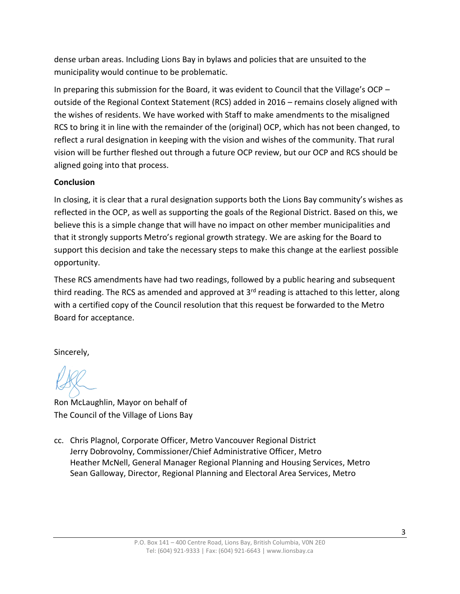dense urban areas. Including Lions Bay in bylaws and policies that are unsuited to the municipality would continue to be problematic.

In preparing this submission for the Board, it was evident to Council that the Village's OCP – outside of the Regional Context Statement (RCS) added in 2016 – remains closely aligned with the wishes of residents. We have worked with Staff to make amendments to the misaligned RCS to bring it in line with the remainder of the (original) OCP, which has not been changed, to reflect a rural designation in keeping with the vision and wishes of the community. That rural vision will be further fleshed out through a future OCP review, but our OCP and RCS should be aligned going into that process.

## **Conclusion**

In closing, it is clear that a rural designation supports both the Lions Bay community's wishes as reflected in the OCP, as well as supporting the goals of the Regional District. Based on this, we believe this is a simple change that will have no impact on other member municipalities and that it strongly supports Metro's regional growth strategy. We are asking for the Board to support this decision and take the necessary steps to make this change at the earliest possible opportunity.

These RCS amendments have had two readings, followed by a public hearing and subsequent third reading. The RCS as amended and approved at  $3<sup>rd</sup>$  reading is attached to this letter, along with a certified copy of the Council resolution that this request be forwarded to the Metro Board for acceptance.

Sincerely,

Ron McLaughlin, Mayor on behalf of The Council of the Village of Lions Bay

cc. Chris Plagnol, Corporate Officer, Metro Vancouver Regional District Jerry Dobrovolny, Commissioner/Chief Administrative Officer, Metro Heather McNell, General Manager Regional Planning and Housing Services, Metro Sean Galloway, Director, Regional Planning and Electoral Area Services, Metro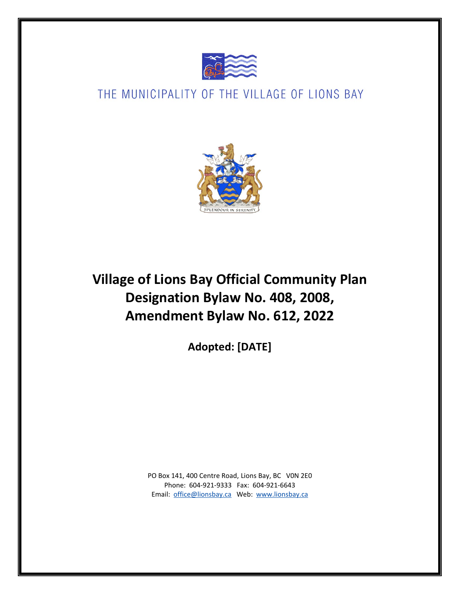

# THE MUNICIPALITY OF THE VILLAGE OF LIONS BAY



**Village of Lions Bay Official Community Plan Designation Bylaw No. 408, 2008, Amendment Bylaw No. 612, 2022**

**Adopted: [DATE]**

PO Box 141, 400 Centre Road, Lions Bay, BC V0N 2E0 Phone: 604-921-9333 Fax: 604-921-6643 Email: [office@lionsbay.ca](mailto:office@lionsbay.ca) Web: [www.lionsbay.ca](http://www.lionsbay.ca/)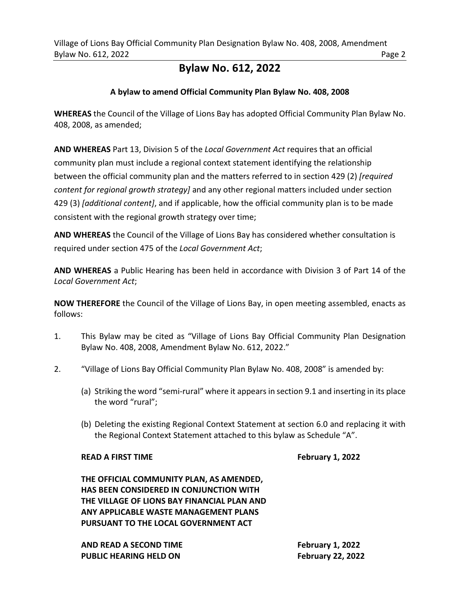## **Bylaw No. 612, 2022**

### **A bylaw to amend Official Community Plan Bylaw No. 408, 2008**

**WHEREAS** the Council of the Village of Lions Bay has adopted Official Community Plan Bylaw No. 408, 2008, as amended;

**AND WHEREAS** Part 13, Division 5 of the *Local Government Act* requires that an official community plan must include a regional context statement identifying the relationship between the official community plan and the matters referred to in section 429 (2) *[required content for regional growth strategy]* and any other regional matters included under section 429 (3) *[additional content]*, and if applicable, how the official community plan is to be made consistent with the regional growth strategy over time;

**AND WHEREAS** the Council of the Village of Lions Bay has considered whether consultation is required under section 475 of the *Local Government Act*;

**AND WHEREAS** a Public Hearing has been held in accordance with Division 3 of Part 14 of the *Local Government Act*;

**NOW THEREFORE** the Council of the Village of Lions Bay, in open meeting assembled, enacts as follows:

- 1. This Bylaw may be cited as "Village of Lions Bay Official Community Plan Designation Bylaw No. 408, 2008, Amendment Bylaw No. 612, 2022."
- 2. "Village of Lions Bay Official Community Plan Bylaw No. 408, 2008" is amended by:
	- (a) Striking the word "semi-rural" where it appears in section 9.1 and inserting in its place the word "rural";
	- (b) Deleting the existing Regional Context Statement at section 6.0 and replacing it with the Regional Context Statement attached to this bylaw as Schedule "A".

#### **READ A FIRST TIME FEDGE ASSAULT A FEAD A FIRST TIME**

**THE OFFICIAL COMMUNITY PLAN, AS AMENDED, HAS BEEN CONSIDERED IN CONJUNCTION WITH THE VILLAGE OF LIONS BAY FINANCIAL PLAN AND ANY APPLICABLE WASTE MANAGEMENT PLANS PURSUANT TO THE LOCAL GOVERNMENT ACT**

**AND READ A SECOND TIME February 1, 2022 PUBLIC HEARING HELD ON February 22, 2022**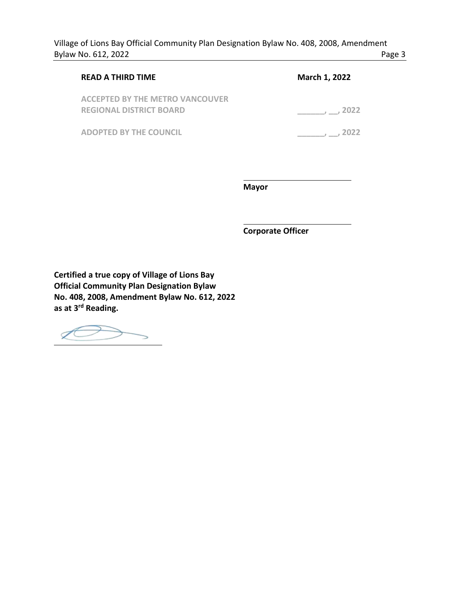| <b>READ A THIRD TIME</b>                                                 | March 1, 2022 |
|--------------------------------------------------------------------------|---------------|
| <b>ACCEPTED BY THE METRO VANCOUVER</b><br><b>REGIONAL DISTRICT BOARD</b> | 2022          |
| <b>ADOPTED BY THE COUNCIL</b>                                            | 2022          |

 **Mayor**

 **Corporate Officer**

**Certified a true copy of Village of Lions Bay Official Community Plan Designation Bylaw No. 408, 2008, Amendment Bylaw No. 612, 2022 as at 3rd Reading.**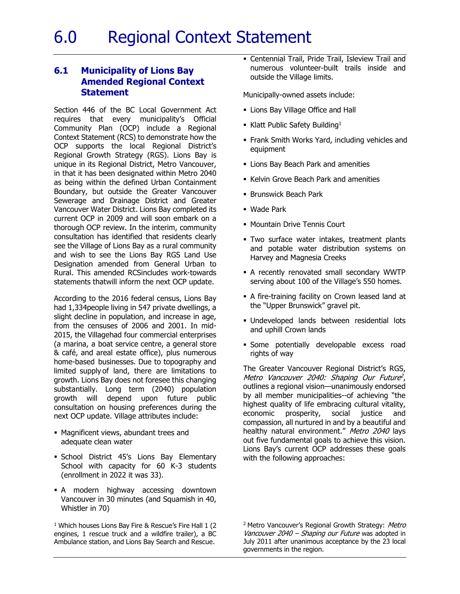### **6.1 Municipality of Lions Bay Amended Regional Context Statement**

Section 446 of the BC Local Government Act requires that every municipality's Official Community Plan (OCP) include a Regional Context Statement (RCS) to demonstrate how the OCP supports the local Regional District's Regional Growth Strategy (RGS). Lions Bay is unique in its Regional District, Metro Vancouver, in that it has been designated within Metro 2040 as being within the defined Urban Containment Boundary, but outside the Greater Vancouver Sewerage and Drainage District and Greater Vancouver Water District. Lions Bay completed its current OCP in 2009 and will soon embark on a thorough OCP review. In the interim, community consultation has identified that residents clearly see the Village of Lions Bay as a rural community and wish to see the Lions Bay RGS Land Use Designation amended from General Urban to Rural. This amended RCSincludes work-towards statements thatwill inform the next OCP update.

According to the 2016 federal census, Lions Bay had 1,334people living in 547 private dwellings, a slight decline in population, and increase in age, from the censuses of 2006 and 2001. In mid-2015, the Villagehad four commercial enterprises (a marina, a boat service centre, a general store & café, and areal estate office), plus numerous home-based businesses. Due to topography and limited supply of land, there are limitations to growth. Lions Bay does not foresee this changing substantially. Long term (2040) population growth will depend upon future public consultation on housing preferences during the next OCP update. Village attributes include:

- Magnificent views, abundant trees and adequate clean water
- School District 45's Lions Bay Elementary School with capacity for 60 K-3 students (enrollment in 2022 it was 33).
- A modern highway accessing downtown Vancouver in 30 minutes (and Squamish in 40, Whistler in 70)

<sup>1</sup> Which houses Lions Bay Fire & Rescue's Fire Hall 1 (2 engines, 1 rescue truck and a wildfire trailer), a BC Ambulance station, and Lions Bay Search and Rescue.

 Centennial Trail, Pride Trail, Isleview Trail and numerous volunteer-built trails inside and outside the Village limits.

Municipally-owned assets include:

- Lions Bay Village Office and Hall
- Klatt Public Safety Building<sup>1</sup>
- Frank Smith Works Yard, including vehicles and equipment
- Lions Bay Beach Park and amenities
- **Kelvin Grove Beach Park and amenities**
- **Brunswick Beach Park**
- Wade Park
- **Mountain Drive Tennis Court**
- Two surface water intakes, treatment plants and potable water distribution systems on Harvey and Magnesia Creeks
- A recently renovated small secondary WWTP serving about 100 of the Village's 550 homes.
- A fire-training facility on Crown leased land at the "Upper Brunswick" gravel pit.
- Undeveloped lands between residential lots and uphill Crown lands
- Some potentially developable excess road rights of way

The Greater Vancouver Regional District's RGS, Metro Vancouver 2040: Shaping Our Future<sup>2</sup>, outlines a regional vision—unanimously endorsed by all member municipalities--of achieving "the highest quality of life embracing cultural vitality, economic prosperity, social justice and compassion, all nurtured in and by a beautiful and healthy natural environment." Metro 2040 lays out five fundamental goals to achieve this vision. Lions Bay's current OCP addresses these goals with the following approaches:

<sup>2</sup> Metro Vancouver's Regional Growth Strategy: Metro Vancouver 2040 – Shaping our Future was adopted in July 2011 after unanimous acceptance by the 23 local governments in the region.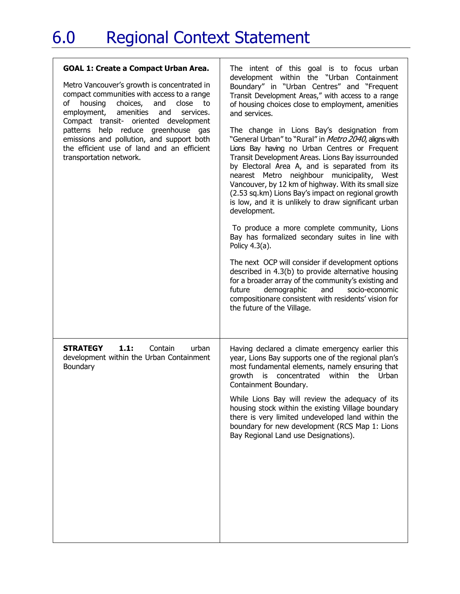| <b>GOAL 1: Create a Compact Urban Area.</b><br>Metro Vancouver's growth is concentrated in<br>compact communities with access to a range<br>housing<br>choices,<br>and<br>close<br>of<br>to<br>amenities<br>employment,<br>and<br>services.<br>Compact transit- oriented development<br>patterns help reduce<br>greenhouse gas<br>emissions and pollution, and support both<br>the efficient use of land and an efficient<br>transportation network. | The intent of this goal is to focus urban<br>development within the "Urban Containment<br>Boundary" in "Urban Centres" and "Frequent<br>Transit Development Areas," with access to a range<br>of housing choices close to employment, amenities<br>and services.<br>The change in Lions Bay's designation from<br>"General Urban" to "Rural" in Metro 2040, aligns with<br>Lions Bay having no Urban Centres or Frequent<br>Transit Development Areas. Lions Bay issurrounded<br>by Electoral Area A, and is separated from its<br>nearest Metro neighbour municipality, West<br>Vancouver, by 12 km of highway. With its small size<br>(2.53 sq.km) Lions Bay's impact on regional growth<br>is low, and it is unlikely to draw significant urban<br>development.<br>To produce a more complete community, Lions<br>Bay has formalized secondary suites in line with<br>Policy 4.3(a).<br>The next OCP will consider if development options<br>described in 4.3(b) to provide alternative housing<br>for a broader array of the community's existing and<br>demographic<br>future<br>and<br>socio-economic<br>compositionare consistent with residents' vision for<br>the future of the Village. |
|------------------------------------------------------------------------------------------------------------------------------------------------------------------------------------------------------------------------------------------------------------------------------------------------------------------------------------------------------------------------------------------------------------------------------------------------------|---------------------------------------------------------------------------------------------------------------------------------------------------------------------------------------------------------------------------------------------------------------------------------------------------------------------------------------------------------------------------------------------------------------------------------------------------------------------------------------------------------------------------------------------------------------------------------------------------------------------------------------------------------------------------------------------------------------------------------------------------------------------------------------------------------------------------------------------------------------------------------------------------------------------------------------------------------------------------------------------------------------------------------------------------------------------------------------------------------------------------------------------------------------------------------------------------|
| <b>STRATEGY</b><br>1.1:<br>Contain<br>urban<br>development within the Urban Containment<br>Boundary                                                                                                                                                                                                                                                                                                                                                  | Having declared a climate emergency earlier this<br>year, Lions Bay supports one of the regional plan's<br>most fundamental elements, namely ensuring that<br>growth is concentrated within the Urban<br>Containment Boundary.<br>While Lions Bay will review the adequacy of its<br>housing stock within the existing Village boundary<br>there is very limited undeveloped land within the<br>boundary for new development (RCS Map 1: Lions<br>Bay Regional Land use Designations).                                                                                                                                                                                                                                                                                                                                                                                                                                                                                                                                                                                                                                                                                                            |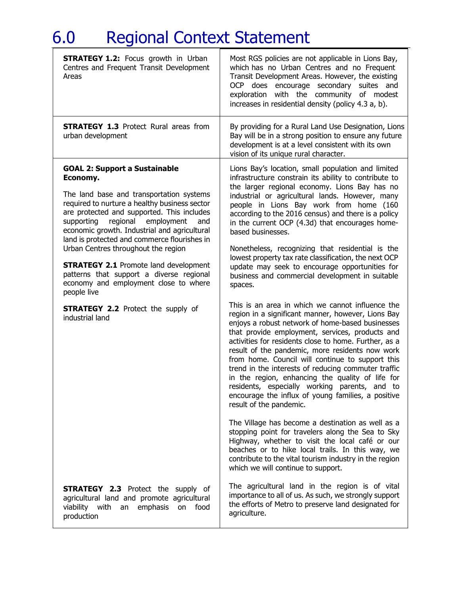| <b>STRATEGY 1.2:</b> Focus growth in Urban<br>Centres and Frequent Transit Development<br>Areas                                                                                                                                                                                                                                                                                                                                                                                                                                                                                                 | Most RGS policies are not applicable in Lions Bay,<br>which has no Urban Centres and no Frequent<br>Transit Development Areas. However, the existing<br>OCP does encourage secondary suites and<br>exploration with the community of modest<br>increases in residential density (policy 4.3 a, b).                                                                                                                                                                                                                                                                                                                                                                                                                                                                                                                                                                                                                                                                                                                                                                                                                                                                                                                                                                                                                                                                                                                                                                                                                                                                    |
|-------------------------------------------------------------------------------------------------------------------------------------------------------------------------------------------------------------------------------------------------------------------------------------------------------------------------------------------------------------------------------------------------------------------------------------------------------------------------------------------------------------------------------------------------------------------------------------------------|-----------------------------------------------------------------------------------------------------------------------------------------------------------------------------------------------------------------------------------------------------------------------------------------------------------------------------------------------------------------------------------------------------------------------------------------------------------------------------------------------------------------------------------------------------------------------------------------------------------------------------------------------------------------------------------------------------------------------------------------------------------------------------------------------------------------------------------------------------------------------------------------------------------------------------------------------------------------------------------------------------------------------------------------------------------------------------------------------------------------------------------------------------------------------------------------------------------------------------------------------------------------------------------------------------------------------------------------------------------------------------------------------------------------------------------------------------------------------------------------------------------------------------------------------------------------------|
| <b>STRATEGY 1.3 Protect Rural areas from</b><br>urban development                                                                                                                                                                                                                                                                                                                                                                                                                                                                                                                               | By providing for a Rural Land Use Designation, Lions<br>Bay will be in a strong position to ensure any future<br>development is at a level consistent with its own<br>vision of its unique rural character.                                                                                                                                                                                                                                                                                                                                                                                                                                                                                                                                                                                                                                                                                                                                                                                                                                                                                                                                                                                                                                                                                                                                                                                                                                                                                                                                                           |
| <b>GOAL 2: Support a Sustainable</b><br>Economy.<br>The land base and transportation systems<br>required to nurture a healthy business sector<br>are protected and supported. This includes<br>supporting regional employment<br>and<br>economic growth. Industrial and agricultural<br>land is protected and commerce flourishes in<br>Urban Centres throughout the region<br><b>STRATEGY 2.1 Promote land development</b><br>patterns that support a diverse regional<br>economy and employment close to where<br>people live<br><b>STRATEGY 2.2</b> Protect the supply of<br>industrial land | Lions Bay's location, small population and limited<br>infrastructure constrain its ability to contribute to<br>the larger regional economy. Lions Bay has no<br>industrial or agricultural lands. However, many<br>people in Lions Bay work from home (160<br>according to the 2016 census) and there is a policy<br>in the current OCP (4.3d) that encourages home-<br>based businesses.<br>Nonetheless, recognizing that residential is the<br>lowest property tax rate classification, the next OCP<br>update may seek to encourage opportunities for<br>business and commercial development in suitable<br>spaces.<br>This is an area in which we cannot influence the<br>region in a significant manner, however, Lions Bay<br>enjoys a robust network of home-based businesses<br>that provide employment, services, products and<br>activities for residents close to home. Further, as a<br>result of the pandemic, more residents now work<br>from home. Council will continue to support this<br>trend in the interests of reducing commuter traffic<br>in the region, enhancing the quality of life for<br>residents, especially working parents, and to<br>encourage the influx of young families, a positive<br>result of the pandemic.<br>The Village has become a destination as well as a<br>stopping point for travelers along the Sea to Sky<br>Highway, whether to visit the local café or our<br>beaches or to hike local trails. In this way, we<br>contribute to the vital tourism industry in the region<br>which we will continue to support. |
| <b>STRATEGY 2.3</b> Protect the supply of<br>agricultural land and promote agricultural<br>viability with<br>emphasis<br>food<br>an<br>on<br>production                                                                                                                                                                                                                                                                                                                                                                                                                                         | The agricultural land in the region is of vital<br>importance to all of us. As such, we strongly support<br>the efforts of Metro to preserve land designated for<br>agriculture.                                                                                                                                                                                                                                                                                                                                                                                                                                                                                                                                                                                                                                                                                                                                                                                                                                                                                                                                                                                                                                                                                                                                                                                                                                                                                                                                                                                      |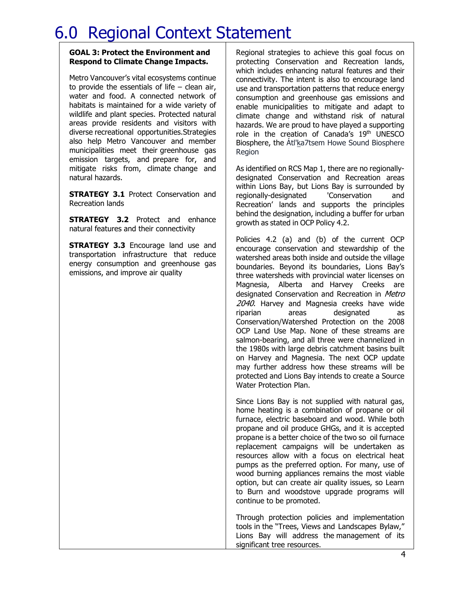#### **GOAL 3: Protect the Environment and Respond to Climate Change Impacts.**

Metro Vancouver's vital ecosystems continue to provide the essentials of life  $-$  clean air, water and food. A connected network of habitats is maintained for a wide variety of wildlife and plant species. Protected natural areas provide residents and visitors with diverse recreational opportunities.Strategies also help Metro Vancouver and member municipalities meet their greenhouse gas emission targets, and prepare for, and mitigate risks from, climate change and natural hazards.

**STRATEGY 3.1 Protect Conservation and** Recreation lands

**STRATEGY 3.2** Protect and enhance natural features and their connectivity

**STRATEGY 3.3** Encourage land use and transportation infrastructure that reduce energy consumption and greenhouse gas emissions, and improve air quality

Regional strategies to achieve this goal focus on protecting Conservation and Recreation lands, which includes enhancing natural features and their connectivity. The intent is also to encourage land use and transportation patterns that reduce energy consumption and greenhouse gas emissions and enable municipalities to mitigate and adapt to climate change and withstand risk of natural hazards. We are proud to have played a supporting role in the creation of Canada's 19<sup>th</sup> UNESCO Biosphere, the Átl'ka7tsem Howe Sound Biosphere Region

As identified on RCS Map 1, there are no regionallydesignated Conservation and Recreation areas within Lions Bay, but Lions Bay is surrounded by regionally-designated 'Conservation and Recreation' lands and supports the principles behind the designation, including a buffer for urban growth as stated in OCP Policy 4.2.

Policies 4.2 (a) and (b) of the current OCP encourage conservation and stewardship of the watershed areas both inside and outside the village boundaries. Beyond its boundaries, Lions Bay's three watersheds with provincial water licenses on Magnesia, Alberta and Harvey Creeks are designated Conservation and Recreation in Metro 2040. Harvey and Magnesia creeks have wide riparian areas designated as Conservation/Watershed Protection on the 2008 OCP Land Use Map. None of these streams are salmon-bearing, and all three were channelized in the 1980s with large debris catchment basins built on Harvey and Magnesia. The next OCP update may further address how these streams will be protected and Lions Bay intends to create a Source Water Protection Plan.

Since Lions Bay is not supplied with natural gas, home heating is a combination of propane or oil furnace, electric baseboard and wood. While both propane and oil produce GHGs, and it is accepted propane is a better choice of the two so oil furnace replacement campaigns will be undertaken as resources allow with a focus on electrical heat pumps as the preferred option. For many, use of wood burning appliances remains the most viable option, but can create air quality issues, so Learn to Burn and woodstove upgrade programs will continue to be promoted.

Through protection policies and implementation tools in the "Trees, Views and Landscapes Bylaw," Lions Bay will address the management of its significant tree resources.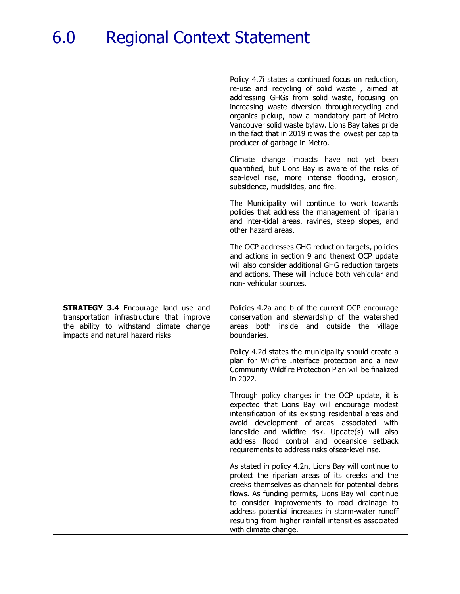|                                                                                                                                                                         | Policy 4.7i states a continued focus on reduction,<br>re-use and recycling of solid waste, aimed at<br>addressing GHGs from solid waste, focusing on<br>increasing waste diversion through recycling and<br>organics pickup, now a mandatory part of Metro<br>Vancouver solid waste bylaw. Lions Bay takes pride<br>in the fact that in 2019 it was the lowest per capita<br>producer of garbage in Metro. |
|-------------------------------------------------------------------------------------------------------------------------------------------------------------------------|------------------------------------------------------------------------------------------------------------------------------------------------------------------------------------------------------------------------------------------------------------------------------------------------------------------------------------------------------------------------------------------------------------|
|                                                                                                                                                                         | Climate change impacts have not yet been<br>quantified, but Lions Bay is aware of the risks of<br>sea-level rise, more intense flooding, erosion,<br>subsidence, mudslides, and fire.                                                                                                                                                                                                                      |
|                                                                                                                                                                         | The Municipality will continue to work towards<br>policies that address the management of riparian<br>and inter-tidal areas, ravines, steep slopes, and<br>other hazard areas.                                                                                                                                                                                                                             |
|                                                                                                                                                                         | The OCP addresses GHG reduction targets, policies<br>and actions in section 9 and thenext OCP update<br>will also consider additional GHG reduction targets<br>and actions. These will include both vehicular and<br>non- vehicular sources.                                                                                                                                                               |
| <b>STRATEGY 3.4 Encourage land use and</b><br>transportation infrastructure that improve<br>the ability to withstand climate change<br>impacts and natural hazard risks | Policies 4.2a and b of the current OCP encourage<br>conservation and stewardship of the watershed<br>areas both inside and outside the village<br>boundaries.                                                                                                                                                                                                                                              |
|                                                                                                                                                                         | Policy 4.2d states the municipality should create a<br>plan for Wildfire Interface protection and a new<br>Community Wildfire Protection Plan will be finalized<br>in 2022.                                                                                                                                                                                                                                |
|                                                                                                                                                                         | Through policy changes in the OCP update, it is<br>expected that Lions Bay will encourage modest<br>intensification of its existing residential areas and<br>avoid development of areas associated<br>with<br>landslide and wildfire risk. Update(s) will also<br>address flood control and oceanside setback<br>requirements to address risks ofsea-level rise.                                           |
|                                                                                                                                                                         | As stated in policy 4.2n, Lions Bay will continue to<br>protect the riparian areas of its creeks and the<br>creeks themselves as channels for potential debris<br>flows. As funding permits, Lions Bay will continue<br>to consider improvements to road drainage to<br>address potential increases in storm-water runoff<br>resulting from higher rainfall intensities associated<br>with climate change. |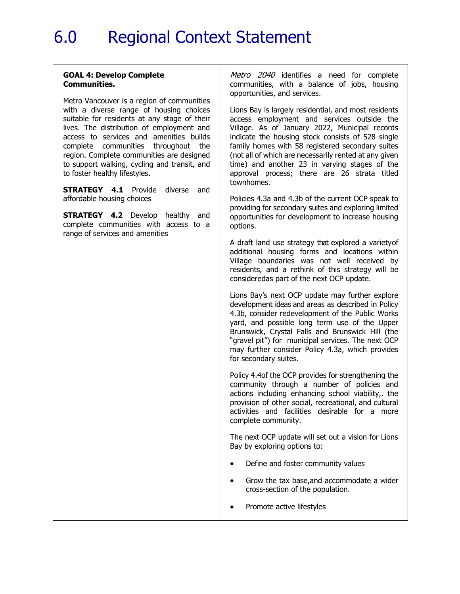#### **GOAL 4: Develop Complete Communities.**

Metro Vancouver is a region of communities with a diverse range of housing choices suitable for residents at any stage of their lives. The distribution of employment and access to services and amenities builds complete communities throughout the region. Complete communities are designed to support walking, cycling and transit, and to foster healthy lifestyles.

**STRATEGY 4.1** Provide diverse and affordable housing choices

**STRATEGY 4.2** Develop healthy and complete communities with access to a range of services and amenities

Metro 2040 identifies a need for complete communities, with a balance of jobs, housing opportunities, and services.

Lions Bay is largely residential, and most residents access employment and services outside the Village. As of January 2022, Municipal records indicate the housing stock consists of 528 single family homes with 58 registered secondary suites (not all of which are necessarily rented at any given time) and another 23 in varying stages of the approval process; there are 26 strata titled townhomes.

Policies 4.3a and 4.3b of the current OCP speak to providing for secondary suites and exploring limited opportunities for development to increase housing options.

A draft land use strategy that explored a varietyof additional housing forms and locations within Village boundaries was not well received by residents, and a rethink of this strategy will be consideredas part of the next OCP update.

Lions Bay's next OCP update may further explore development ideas and areas as described in Policy 4.3b, consider redevelopment of the Public Works yard, and possible long term use of the Upper Brunswick, Crystal Falls and Brunswick Hill (the "gravel pit") for municipal services. The next OCP may further consider Policy 4.3a, which provides for secondary suites.

Policy 4.4of the OCP provides for strengthening the community through a number of policies and actions including enhancing school viability,. the provision of other social, recreational, and cultural activities and facilities desirable for a more complete community.

The next OCP update will set out a vision for Lions Bay by exploring options to:

- Define and foster community values
- Grow the tax base,and accommodate a wider cross-section of the population.
- Promote active lifestyles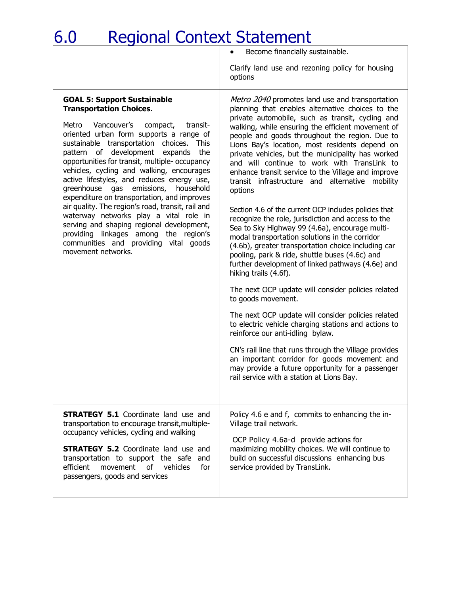• Become financially sustainable.

Clarify land use and rezoning policy for housing options

#### **GOAL 5: Support Sustainable Transportation Choices.**

Metro Vancouver's compact, transitoriented urban form supports a range of sustainable transportation choices. This pattern of development expands the opportunities for transit, multiple- occupancy vehicles, cycling and walking, encourages active lifestyles, and reduces energy use, greenhouse gas emissions, household expenditure on transportation, and improves air quality. The region's road, transit, rail and waterway networks play a vital role in serving and shaping regional development, providing linkages among the region's communities and providing vital goods movement networks.

Metro 2040 promotes land use and transportation planning that enables alternative choices to the private automobile, such as transit, cycling and walking, while ensuring the efficient movement of people and goods throughout the region. Due to Lions Bay's location, most residents depend on private vehicles, but the municipality has worked and will continue to work with TransLink to enhance transit service to the Village and improve transit infrastructure and alternative mobility options

Section 4.6 of the current OCP includes policies that recognize the role, jurisdiction and access to the Sea to Sky Highway 99 (4.6a), encourage multimodal transportation solutions in the corridor (4.6b), greater transportation choice including car pooling, park & ride, shuttle buses (4.6c) and further development of linked pathways (4.6e) and hiking trails (4.6f).

The next OCP update will consider policies related to goods movement.

The next OCP update will consider policies related to electric vehicle charging stations and actions to reinforce our anti-idling bylaw.

CN's rail line that runs through the Village provides an important corridor for goods movement and may provide a future opportunity for a passenger rail service with a station at Lions Bay.

**STRATEGY 5.1 Coordinate land use and** transportation to encourage transit, multipleoccupancy vehicles, cycling and walking

**STRATEGY 5.2** Coordinate land use and transportation to support the safe and efficient movement of vehicles for passengers, goods and services

Policy 4.6 e and f, commits to enhancing the in-Village trail network.

OCP Policy 4.6a-d provide actions for maximizing mobility choices. We will continue to build on successful discussions enhancing bus service provided by TransLink.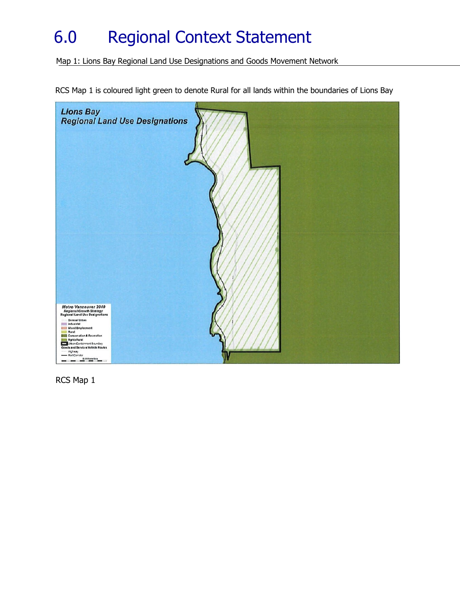Map 1: Lions Bay Regional Land Use Designations and Goods Movement Network

RCS Map 1 is coloured light green to denote Rural for all lands within the boundaries of Lions Bay



RCS Map 1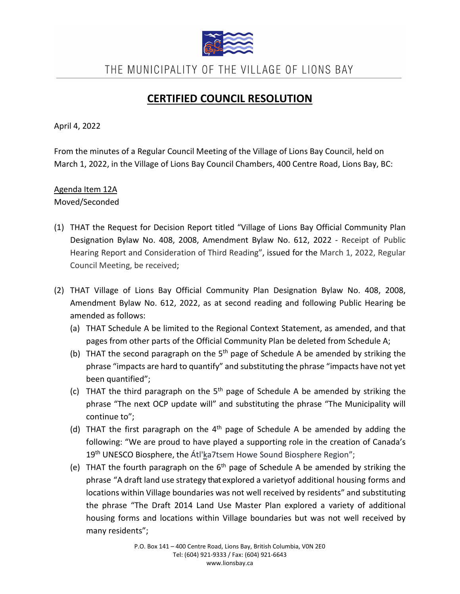

THE MUNICIPALITY OF THE VILLAGE OF LIONS BAY

# **CERTIFIED COUNCIL RESOLUTION**

April 4, 2022

From the minutes of a Regular Council Meeting of the Village of Lions Bay Council, held on March 1, 2022, in the Village of Lions Bay Council Chambers, 400 Centre Road, Lions Bay, BC:

### Agenda Item 12A Moved/Seconded

- (1) THAT the Request for Decision Report titled "Village of Lions Bay Official Community Plan Designation Bylaw No. 408, 2008, Amendment Bylaw No. 612, 2022 - Receipt of Public Hearing Report and Consideration of Third Reading", issued for the March 1, 2022, Regular Council Meeting, be received;
- (2) THAT Village of Lions Bay Official Community Plan Designation Bylaw No. 408, 2008, Amendment Bylaw No. 612, 2022, as at second reading and following Public Hearing be amended as follows:
	- (a) THAT Schedule A be limited to the Regional Context Statement, as amended, and that pages from other parts of the Official Community Plan be deleted from Schedule A;
	- (b) THAT the second paragraph on the  $5<sup>th</sup>$  page of Schedule A be amended by striking the phrase "impacts are hard to quantify" and substituting the phrase "impacts have not yet been quantified";
	- (c) THAT the third paragraph on the  $5<sup>th</sup>$  page of Schedule A be amended by striking the phrase "The next OCP update will" and substituting the phrase "The Municipality will continue to";
	- (d) THAT the first paragraph on the  $4<sup>th</sup>$  page of Schedule A be amended by adding the following: "We are proud to have played a supporting role in the creation of Canada's 19<sup>th</sup> UNESCO Biosphere, the Átl'ka7tsem Howe Sound Biosphere Region";
	- (e) THAT the fourth paragraph on the  $6<sup>th</sup>$  page of Schedule A be amended by striking the phrase "A draft land use strategy that explored a varietyof additional housing forms and locations within Village boundaries was not well received by residents" and substituting the phrase "The Draft 2014 Land Use Master Plan explored a variety of additional housing forms and locations within Village boundaries but was not well received by many residents";